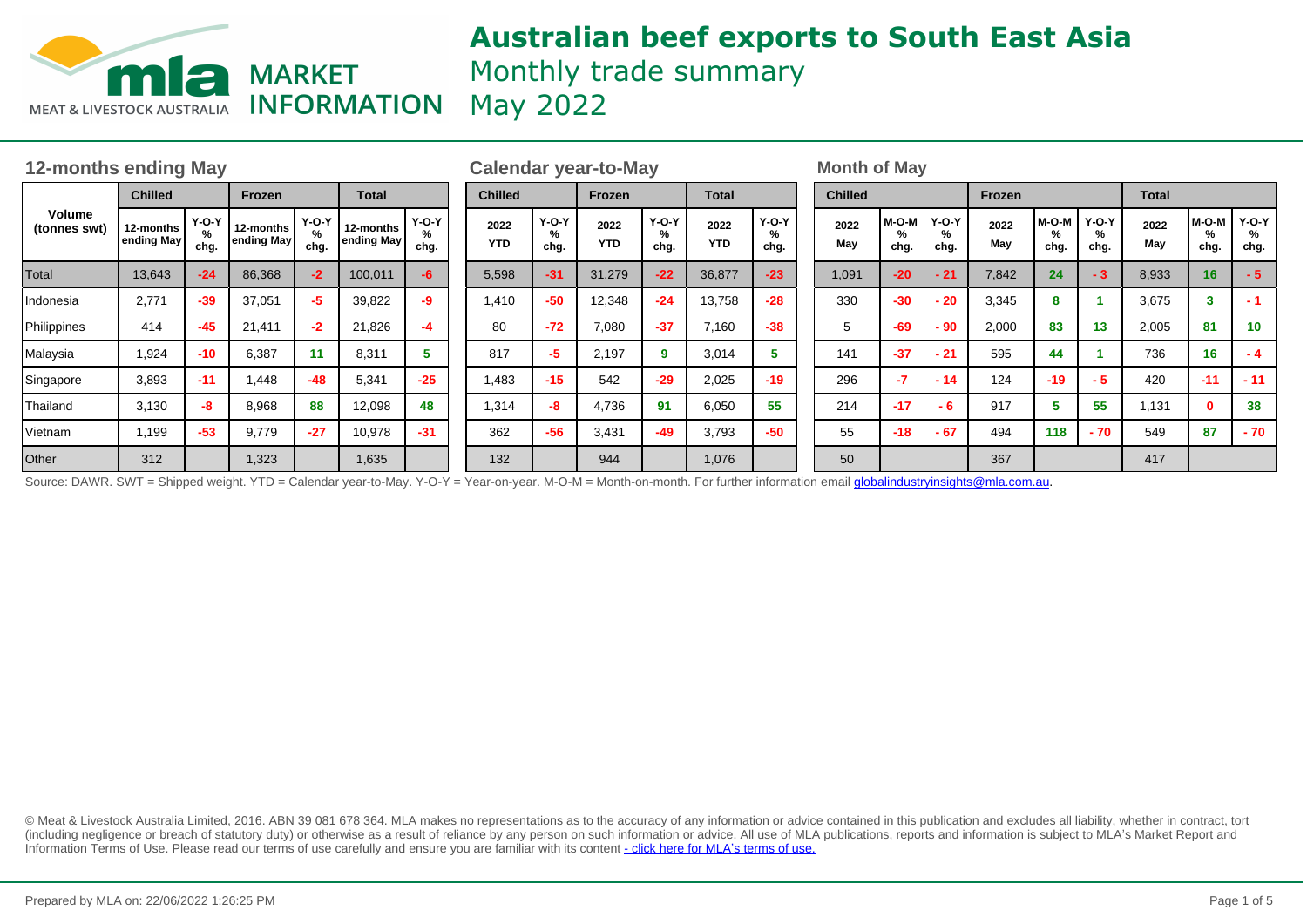

# **Australian beef exports to South East Asia** Monthly trade summary

**INFORMATION** May 2022

| <b>12-months ending May</b> |                         |                      |                         |                      |                         |                      |                    | <b>Calendar year-to-May</b> |                    |                    |                      |                    |                      |                | <b>Month of May</b> |                    |                      |             |                    |                      |              |                         |                      |  |
|-----------------------------|-------------------------|----------------------|-------------------------|----------------------|-------------------------|----------------------|--------------------|-----------------------------|--------------------|--------------------|----------------------|--------------------|----------------------|----------------|---------------------|--------------------|----------------------|-------------|--------------------|----------------------|--------------|-------------------------|----------------------|--|
| Volume<br>(tonnes swt)      | <b>Chilled</b>          |                      | Frozen                  |                      | <b>Total</b>            |                      | <b>Chilled</b>     |                             | <b>Frozen</b>      |                    | <b>Total</b>         |                    |                      | <b>Chilled</b> |                     |                    |                      | Frozen      |                    |                      | <b>Total</b> |                         |                      |  |
|                             | 12-months<br>ending May | $Y-O-Y$<br>%<br>chg. | 12-months<br>ending May | $Y-O-Y$<br>%<br>chg. | 12-months<br>ending May | $Y-O-Y$<br>%<br>chg. | 2022<br><b>YTD</b> |                             | Y-O-Y<br>%<br>chg. | 2022<br><b>YTD</b> | $Y-O-Y$<br>%<br>chg. | 2022<br><b>YTD</b> | $Y-O-Y$<br>%<br>chg. |                | 2022<br>May         | M-O-M<br>%<br>chg. | <b>Y-O-Y</b><br>chg. | 2022<br>May | M-O-M<br>%<br>chg. | $Y-O-Y$<br>℅<br>chg. | 2022<br>Mav  | M-O-M<br>%<br>chg.      | $Y-O-Y$<br>℅<br>chg. |  |
| Total                       | 13,643                  | $-24$                | 86,368                  | $-2$                 | 100,011                 | -6                   | 5,598              |                             | $-31$              | 31,279             | $-22$                | 36,877             | $-23$                |                | 1,091               | $-20$              | $-21$                | 7,842       | 24                 | $-3$                 | 8,933        | 16                      | $-57$                |  |
| Indonesia                   | 2,771                   | $-39$                | 37,051                  | -5                   | 39,822                  | -9                   | 1,410              |                             | $-50$              | 12,348             | $-24$                | 13,758             | $-28$                |                | 330                 | $-30$              | $-20$                | 3,345       | 8                  |                      | 3,675        | $\overline{\mathbf{3}}$ |                      |  |
| Philippines                 | 414                     | $-45$                | 21,411                  | $-2$                 | 21,826                  | -4                   | 80                 |                             | $-72$              | 7,080              | $-37$                | 7,160              | $-38$                |                | 5                   | $-69$              | $-90$                | 2,000       | 83                 | 13                   | 2,005        | 81                      | 10                   |  |
| Malaysia                    | 1,924                   | $-10$                | 6,387                   |                      | 8,311                   | 5                    | 817                |                             | -5                 | 2,197              | 9                    | 3,014              |                      |                | 141                 | $-37$              | $-21$                | 595         | 44                 |                      | 736          | 16                      | - 4                  |  |
| Singapore                   | 3,893                   | $-11$                | 1,448                   | $-48$                | 5,341                   | $-25$                | 1,483              |                             | $-15$              | 542                | $-29$                | 2,025              | $-19$                |                | 296                 | $-7$               | $-14$                | 124         | $-19$              | $-5$                 | 420          | $-11$                   | $-11$                |  |
| Thailand                    | 3,130                   | -8                   | 8,968                   | 88                   | 12,098                  | 48                   | 1,314              |                             | -8                 | 4,736              | 91                   | 6,050              | 55                   |                | 214                 | $-17$              | - 6                  | 917         | 5                  | 55                   | 1,131        | $\mathbf{0}$            | 38                   |  |
| Vietnam                     | 1,199                   | $-53$                | 9,779                   | $-27$                | 10,978                  | $-31$                | 362                |                             | $-56$              | 3,431              | $-49$                | 3,793              | $-50$                |                | 55                  | $-18$              | $-67$                | 494         | 118                | - 70                 | 549          | 87                      | $-70$                |  |
| <b>Other</b>                | 312                     |                      | 1,323                   |                      | 1,635                   |                      | 132                |                             |                    | 944                |                      | 1,076              |                      |                | 50                  |                    |                      | 367         |                    |                      | 417          |                         |                      |  |

Source: DAWR. SWT = Shipped weight. YTD = Calendar year-to-May. Y-O-Y = Year-on-year. M-O-M = Month-on-month. For further information email globalindustryinsights@mla.com.au.

© Meat & Livestock Australia Limited, 2016. ABN 39 081 678 364. MLA makes no representations as to the accuracy of any information or advice contained in this publication and excludes all liability, whether in contract, tort (including negligence or breach of statutory duty) or otherwise as a result of reliance by any person on such information or advice. All use of MLA publications, reports and information is subject to MLA¶s Market Report and Information Terms of Use. Please read our terms of use carefully and ensure you are familiar with its content [- click here for MLA](http://www.mla.com.au/files/edae0364-a185-4a6f-9dff-a42700d1463a/MLA-Market-Report-and-Information-Terms-of-use-Dec-2014.pdf)'[s terms of use.](http://www.mla.com.au/files/edae0364-a185-4a6f-9dff-a42700d1463a/MLA-Market-Report-and-Information-Terms-of-use-Dec-2014.pdf)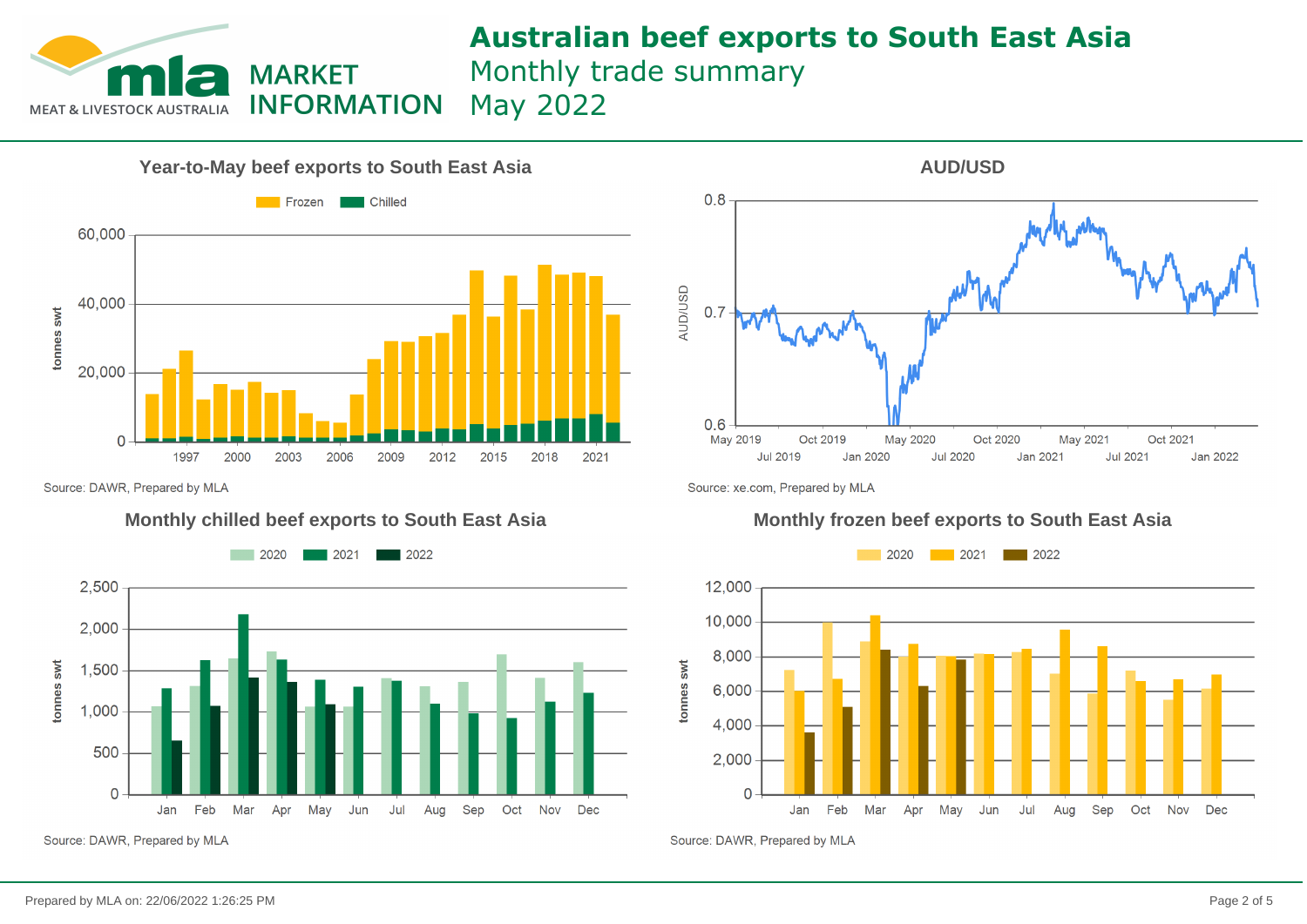

# **Australian beef exports to South East Asia**

Monthly trade summary

May 2022



 $0.8$ **AUD/USD**  $0.7$  $0.6$ May 2019 Oct 2019 May 2020 Oct 2020 May 2021 Oct 2021 **Jul 2019** Jan 2020 **Jul 2020** Jan 2021 **Jul 2021** Jan 2022

**AUD/USD**

Source: DAWR, Prepared by MLA



Source: DAWR, Prepared by MLA

Source: xe.com, Prepared by MLA

### **Monthly chilled beef exports to South East Asia Monthly frozen beef exports to South East Asia**



Source: DAWR, Prepared by MLA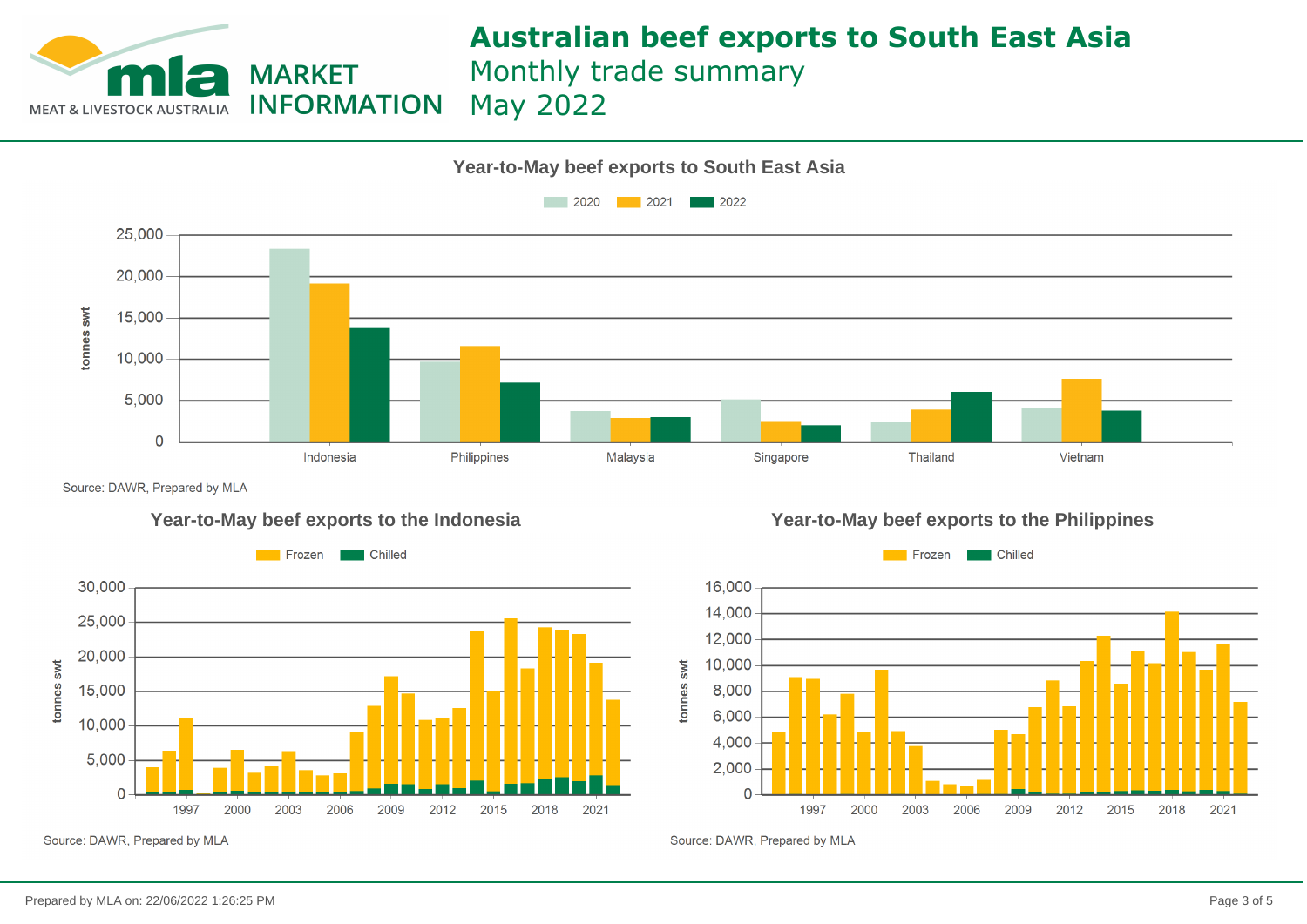

# **Australian beef exports to South East Asia**

Monthly trade summary

May 2022



Source: DAWR, Prepared by MLA







Source: DAWR, Prepared by MLA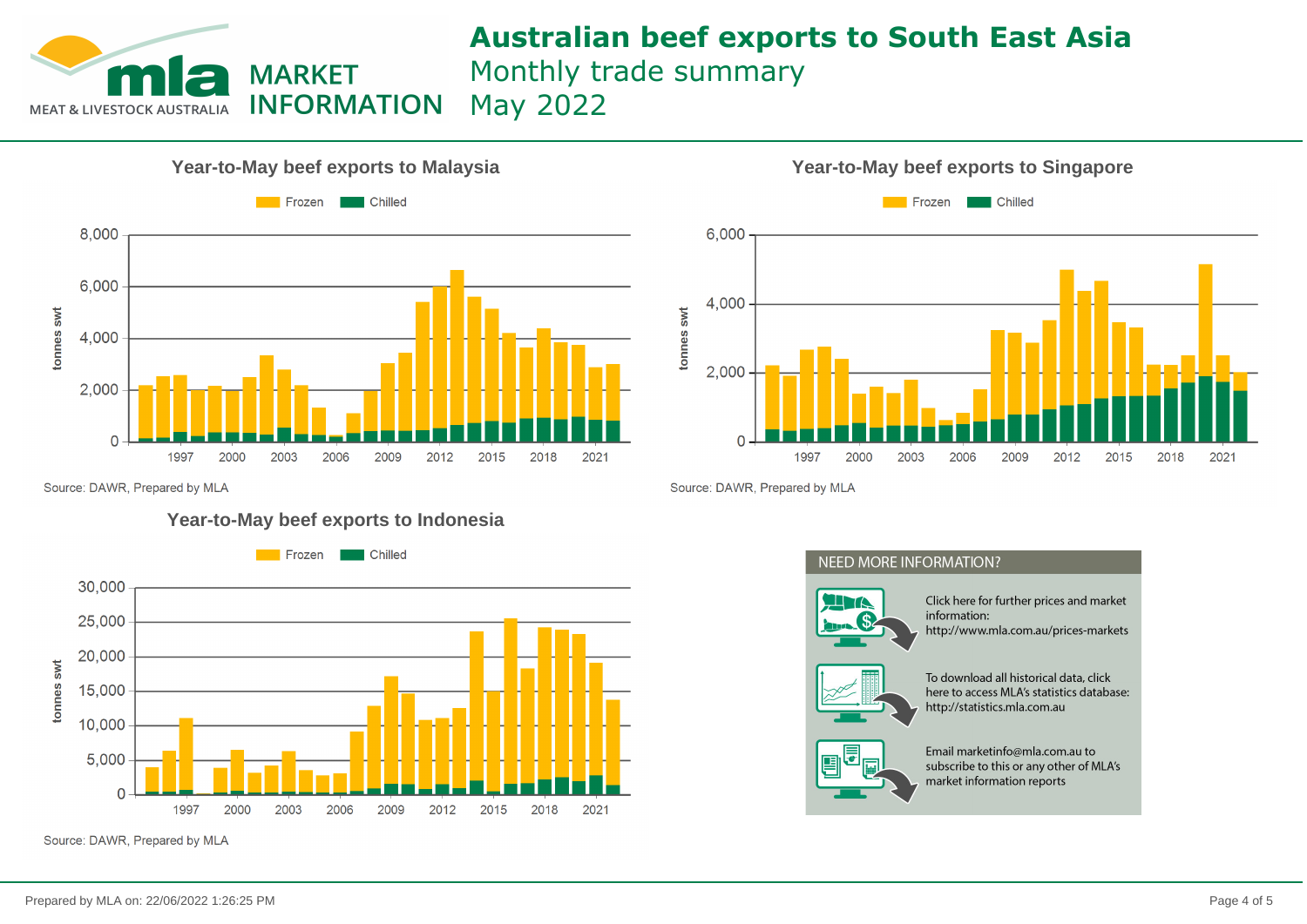

# **Australian beef exports to South East Asia**

Monthly trade summary

May 2022





Source: DAWR, Prepared by MLA

Source: DAWR, Prepared by MLA

### **Year-to-May beef exports to Indonesia**



Source: DAWR, Prepared by MLA

## **NEED MORE INFORMATION?**



Click here for further prices and market information: http://www.mla.com.au/prices-markets



To download all historical data, click here to access MLA's statistics database: http://statistics.mla.com.au



Email marketinfo@mla.com.au to subscribe to this or any other of MLA's market information reports